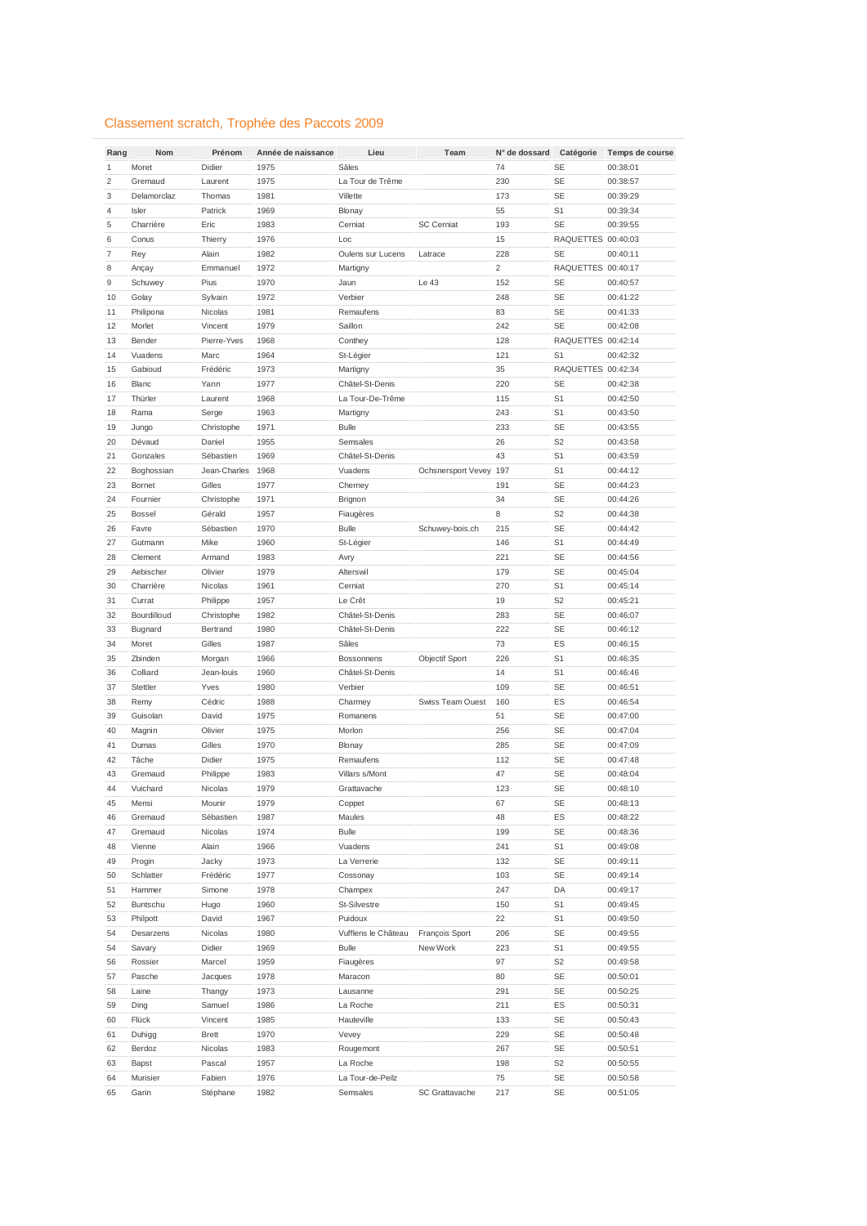## Classement scratch, Trophée des Paccots 2009

| Rang           | Nom           | Prénom       | Année de naissance | Lieu                | Team                    | N° de dossard  | Catégorie          | Temps de course |
|----------------|---------------|--------------|--------------------|---------------------|-------------------------|----------------|--------------------|-----------------|
| $\mathbf{1}$   | Moret         | Didier       | 1975               | Sâles               |                         | 74             | <b>SE</b>          | 00:38:01        |
| $\overline{2}$ | Gremaud       | Laurent      | 1975               | La Tour de Trême    |                         | 230            | <b>SE</b>          | 00:38:57        |
| 3              | Delamorclaz   | Thomas       | 1981               | Villette            |                         | 173            | <b>SE</b>          | 00:39:29        |
| 4              | Isler         | Patrick      | 1969               | Blonay              |                         | 55             | S <sub>1</sub>     | 00:39:34        |
| 5              | Charrière     | Eric         | 1983               | Cerniat             | <b>SC Cerniat</b>       | 193            | <b>SE</b>          | 00:39:55        |
| 6              | Conus         | Thierry      | 1976               | Loc                 |                         | 15             | RAQUETTES 00:40:03 |                 |
| 7              | Rey           | Alain        | 1982               | Oulens sur Lucens   | Latrace                 | 228            | <b>SE</b>          | 00:40:11        |
| 8              | Ançay         | Emmanuel     | 1972               | Martigny            |                         | $\overline{2}$ | RAQUETTES 00:40:17 |                 |
| 9              | Schuwey       | Pius         | 1970               | Jaun                | Le 43                   | 152            | <b>SE</b>          | 00:40:57        |
| 10             | Golay         | Sylvain      | 1972               | Verbier             |                         | 248            | <b>SE</b>          | 00:41:22        |
| 11             | Philipona     | Nicolas      | 1981               | Remaufens           |                         | 83             | <b>SE</b>          | 00:41:33        |
| 12             | Morlet        | Vincent      | 1979               | Saillon             |                         | 242            | <b>SE</b>          | 00:42:08        |
| 13             | Bender        | Pierre-Yves  | 1968               | Conthey             |                         | 128            | RAQUETTES 00:42:14 |                 |
| 14             | Vuadens       | Marc         | 1964               | St-Légier           |                         | 121            | S <sub>1</sub>     | 00:42:32        |
| 15             | Gabioud       | Frédéric     | 1973               | Martigny            |                         | 35             | RAQUETTES 00:42:34 |                 |
| 16             | <b>Blanc</b>  | Yann         | 1977               | Châtel-St-Denis     |                         | 220            | <b>SE</b>          | 00:42:38        |
| 17             | Thürler       | Laurent      | 1968               | La Tour-De-Trême    |                         | 115            | S <sub>1</sub>     | 00:42:50        |
| 18             | Rama          | Serge        | 1963               | Martigny            |                         | 243            | S <sub>1</sub>     | 00:43:50        |
| 19             | Jungo         | Christophe   | 1971               | <b>Bulle</b>        |                         | 233            | <b>SE</b>          | 00:43:55        |
| 20             | Dévaud        | Daniel       | 1955               | Semsales            |                         | 26             | S <sub>2</sub>     | 00:43:58        |
| 21             | Gonzales      | Sébastien    | 1969               | Châtel-St-Denis     |                         | 43             | S <sub>1</sub>     | 00:43:59        |
| 22             | Boghossian    | Jean-Charles | 1968               | Vuadens             | Ochsnersport Vevey 197  |                | S <sub>1</sub>     | 00:44:12        |
| 23             | Bornet        | Gilles       | 1977               | Cherney             |                         | 191            | <b>SE</b>          | 00:44:23        |
| 24             | Fournier      | Christophe   | 1971               | Brignon             |                         | 34             | <b>SE</b>          | 00:44:26        |
| 25             | <b>Bossel</b> | Gérald       | 1957               | Fiaugères           |                         | 8              | S <sub>2</sub>     | 00:44:38        |
| 26             | Favre         | Sébastien    | 1970               | <b>Bulle</b>        | Schuwey-bois.ch         | 215            | <b>SE</b>          | 00:44:42        |
| 27             | Gutmann       | Mike         | 1960               | St-Légier           |                         | 146            | S <sub>1</sub>     | 00:44:49        |
| 28             | Clement       | Armand       | 1983               | Avry                |                         | 221            | <b>SE</b>          | 00:44:56        |
| 29             | Aebischer     | Olivier      | 1979               | Alterswil           |                         | 179            | <b>SE</b>          | 00:45:04        |
| 30             | Charrière     | Nicolas      | 1961               | Cerniat             |                         | 270            | S <sub>1</sub>     | 00:45:14        |
| 31             | Currat        | Philippe     | 1957               | Le Crêt             |                         | 19             | S <sub>2</sub>     | 00:45:21        |
| 32             | Bourdilloud   | Christophe   | 1982               | Châtel-St-Denis     |                         | 283            | <b>SE</b>          | 00:46:07        |
| 33             | Bugnard       | Bertrand     | 1980               | Châtel-St-Denis     |                         | 222            | <b>SE</b>          | 00:46:12        |
| 34             | Moret         | Gilles       | 1987               | Sâles               |                         | 73             | ES                 | 00:46:15        |
| 35             | Zbinden       | Morgan       | 1966               | Bossonnens          | <b>Objectif Sport</b>   | 226            | S <sub>1</sub>     | 00:46:35        |
| 36             | Colliard      | Jean-louis   | 1960               | Châtel-St-Denis     |                         | 14             | S <sub>1</sub>     | 00:46:46        |
| 37             | Stettler      | Yves         | 1980               | Verbier             |                         | 109            | <b>SE</b>          | 00:46:51        |
| 38             | Remy          | Cédric       | 1988               | Charmey             | <b>Swiss Team Ouest</b> | 160            | ES                 | 00:46:54        |
| 39             | Guisolan      | David        | 1975               | Romanens            |                         | 51             | <b>SE</b>          | 00:47:00        |
| 40             | Magnin        | Olivier      | 1975               | Morlon              |                         | 256            | <b>SE</b>          | 00:47:04        |
| 41             | Dumas         | Gilles       | 1970               | Blonay              |                         | 285            | <b>SE</b>          | 00:47:09        |
| 42             | Tâche         | Didier       | 1975               | Remaufens           |                         | 112            | <b>SE</b>          | 00:47:48        |
| 43             | Gremaud       | Philippe     | 1983               | Villars s/Mont      |                         | 47             | <b>SE</b>          | 00:48:04        |
| 44             | Vuichard      | Nicolas      | 1979               | Grattavache         |                         | 123            | <b>SE</b>          | 00:48:10        |
| 45             | Mensi         | Mounir       | 1979               | Coppet              |                         | 67             | SE                 | 00:48:13        |
| 46             | Gremaud       | Sébastien    | 1987               | Maules              |                         | 48             | ES                 | 00:48:22        |
| 47             | Gremaud       | Nicolas      | 1974               | <b>Bulle</b>        |                         | 199            | SE                 | 00:48:36        |
| 48             | Vienne        | Alain        | 1966               | Vuadens             |                         | 241            | S <sub>1</sub>     | 00:49:08        |
| 49             | Progin        | Jacky        | 1973               | La Verrerie         |                         | 132            | SE                 | 00:49:11        |
| 50             | Schlatter     | Frédéric     | 1977               | Cossonay            |                         | 103            | SE                 | 00:49:14        |
| 51             | Hammer        | Simone       | 1978               | Champex             |                         | 247            | DA                 | 00:49:17        |
| 52             | Buntschu      | Hugo         | 1960               | <b>St-Silvestre</b> |                         | 150            | S <sub>1</sub>     | 00:49:45        |
| 53             | Philpott      | David        | 1967               | Puidoux             |                         | 22             | S <sub>1</sub>     | 00:49:50        |
| 54             | Desarzens     | Nicolas      | 1980               | Vufflens le Château | François Sport          | 206            | <b>SE</b>          | 00:49:55        |
| 54             | Savary        | Didier       | 1969               | <b>Bulle</b>        | New Work                | 223            | S <sub>1</sub>     | 00:49:55        |
| 56             | Rossier       | Marcel       | 1959               | Fiaugères           |                         | 97             | S <sub>2</sub>     | 00:49:58        |
| 57             | Pasche        | Jacques      | 1978               | Maracon             |                         | 80             | SE                 | 00:50:01        |
| 58             | Laine         | Thangy       | 1973               | Lausanne            |                         | 291            | SE                 | 00:50:25        |
| 59             | Ding          | Samuel       | 1986               | La Roche            |                         | 211            | ES                 | 00:50:31        |
| 60             | Flück         | Vincent      | 1985               | Hauteville          |                         | 133            | SE                 | 00:50:43        |
| 61             | Duhigg        | <b>Brett</b> | 1970               | Vevey               |                         | 229            | SE                 | 00:50:48        |
| 62             | Berdoz        | Nicolas      | 1983               | Rougemont           |                         | 267            | SE                 | 00:50:51        |
| 63             | Bapst         | Pascal       | 1957               | La Roche            |                         | 198            | S <sub>2</sub>     | 00:50:55        |
| 64             | Murisier      | Fabien       | 1976               | La Tour-de-Peilz    |                         | 75             | SE                 | 00:50:58        |
| 65             | Garin         | Stéphane     | 1982               | Semsales            | SC Grattavache          | 217            | SE                 | 00:51:05        |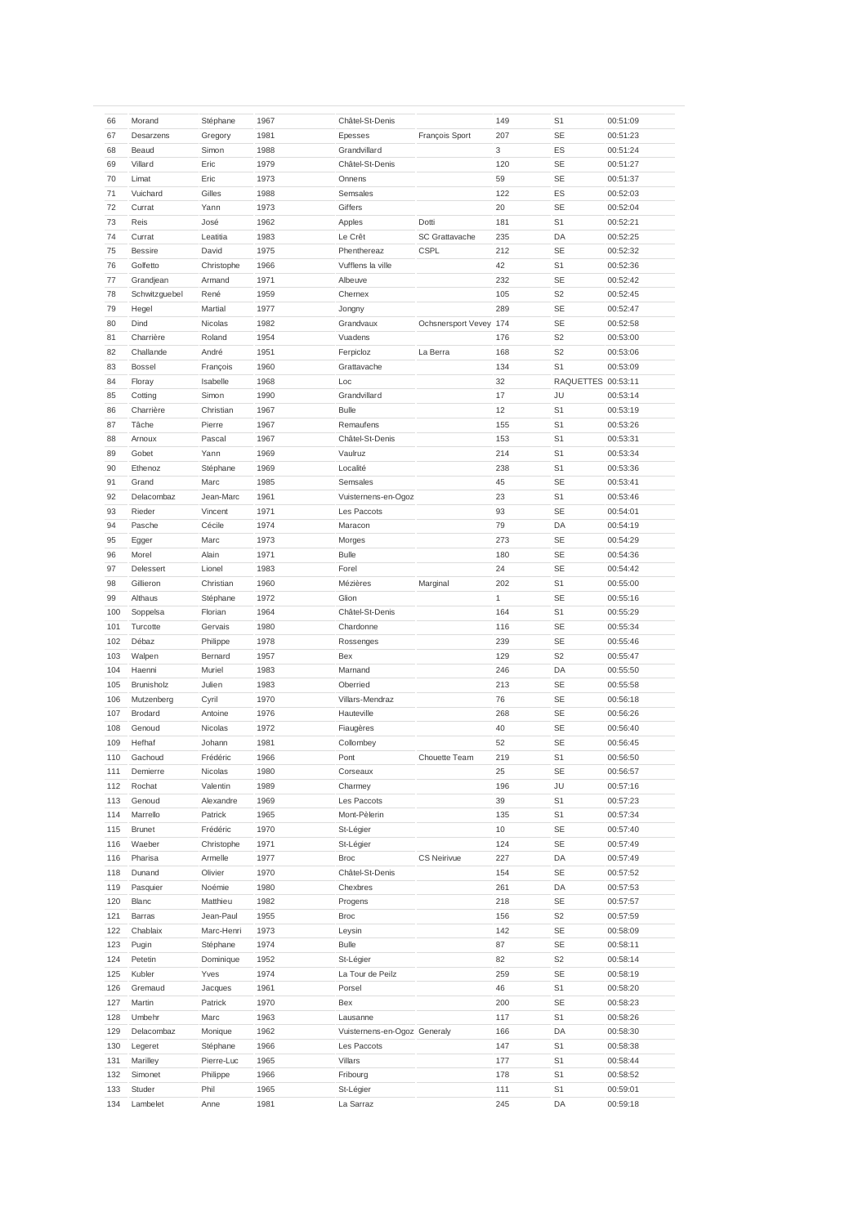| 66  | Morand            | Stéphane   | 1967 | Châtel-St-Denis              |                        | 149 | S <sub>1</sub>     | 00:51:09 |
|-----|-------------------|------------|------|------------------------------|------------------------|-----|--------------------|----------|
| 67  | Desarzens         | Gregory    | 1981 | Epesses                      | François Sport         | 207 | <b>SE</b>          | 00:51:23 |
| 68  | Beaud             | Simon      | 1988 | Grandvillard                 |                        | 3   | ES                 | 00:51:24 |
|     |                   |            |      |                              |                        |     |                    |          |
| 69  | Villard           | Eric       | 1979 | Châtel-St-Denis              |                        | 120 | <b>SE</b>          | 00:51:27 |
| 70  | Limat             | Eric       | 1973 | Onnens                       |                        | 59  | <b>SE</b>          | 00:51:37 |
| 71  | Vuichard          | Gilles     | 1988 | Semsales                     |                        | 122 | ES                 | 00:52:03 |
| 72  | Currat            | Yann       | 1973 | Giffers                      |                        | 20  | <b>SE</b>          | 00:52:04 |
| 73  | Reis              | José       | 1962 |                              | Dotti                  | 181 | S <sub>1</sub>     |          |
|     |                   |            |      | Apples                       |                        |     |                    | 00:52:21 |
| 74  | Currat            | Leatitia   | 1983 | Le Crêt                      | <b>SC Grattavache</b>  | 235 | DA                 | 00:52:25 |
| 75  | <b>Bessire</b>    | David      | 1975 | Phenthereaz                  | <b>CSPL</b>            | 212 | SE                 | 00:52:32 |
| 76  | Golfetto          | Christophe | 1966 | Vufflens la ville            |                        | 42  | S <sub>1</sub>     | 00:52:36 |
| 77  | Grandjean         | Armand     | 1971 | Albeuve                      |                        | 232 | <b>SE</b>          | 00:52:42 |
|     |                   |            |      |                              |                        |     |                    |          |
| 78  | Schwitzguebel     | René       | 1959 | Chernex                      |                        | 105 | S <sub>2</sub>     | 00:52:45 |
| 79  | Hegel             | Martial    | 1977 | Jongny                       |                        | 289 | <b>SE</b>          | 00:52:47 |
| 80  | Dind              | Nicolas    | 1982 | Grandvaux                    | Ochsnersport Vevey 174 |     | <b>SE</b>          | 00:52:58 |
| 81  | Charrière         | Roland     | 1954 | Vuadens                      |                        | 176 | S <sub>2</sub>     | 00:53:00 |
| 82  |                   |            |      |                              |                        |     | S <sub>2</sub>     |          |
|     | Challande         | André      | 1951 | Ferpicloz                    | La Berra               | 168 |                    | 00:53:06 |
| 83  | <b>Bossel</b>     | François   | 1960 | Grattavache                  |                        | 134 | S <sub>1</sub>     | 00:53:09 |
| 84  | Floray            | Isabelle   | 1968 | Loc                          |                        | 32  | RAQUETTES 00:53:11 |          |
| 85  | Cotting           | Simon      | 1990 | Grandvillard                 |                        | 17  | JU                 | 00:53:14 |
| 86  | Charrière         | Christian  | 1967 | <b>Bulle</b>                 |                        | 12  | S <sub>1</sub>     | 00:53:19 |
|     |                   |            |      |                              |                        |     |                    |          |
| 87  | Tâche             | Pierre     | 1967 | Remaufens                    |                        | 155 | S <sub>1</sub>     | 00:53:26 |
| 88  | Arnoux            | Pascal     | 1967 | Châtel-St-Denis              |                        | 153 | S <sub>1</sub>     | 00:53:31 |
| 89  | Gobet             | Yann       | 1969 | Vaulruz                      |                        | 214 | S <sub>1</sub>     | 00:53:34 |
| 90  | Ethenoz           | Stéphane   | 1969 | Localité                     |                        | 238 | S1                 | 00:53:36 |
|     |                   |            |      |                              |                        |     |                    |          |
| 91  | Grand             | Marc       | 1985 | Semsales                     |                        | 45  | SE                 | 00:53:41 |
| 92  | Delacombaz        | Jean-Marc  | 1961 | Vuisternens-en-Ogoz          |                        | 23  | S <sub>1</sub>     | 00:53:46 |
| 93  | Rieder            | Vincent    | 1971 | Les Paccots                  |                        | 93  | <b>SE</b>          | 00:54:01 |
| 94  | Pasche            | Cécile     | 1974 | Maracon                      |                        | 79  | DA                 | 00:54:19 |
| 95  |                   | Marc       | 1973 |                              |                        | 273 | <b>SE</b>          | 00:54:29 |
|     | Egger             |            |      | Morges                       |                        |     |                    |          |
| 96  | Morel             | Alain      | 1971 | <b>Bulle</b>                 |                        | 180 | <b>SE</b>          | 00:54:36 |
| 97  | Delessert         | Lionel     | 1983 | Forel                        |                        | 24  | <b>SE</b>          | 00:54:42 |
| 98  | Gillieron         | Christian  | 1960 | Mézières                     | Marginal               | 202 | S <sub>1</sub>     | 00:55:00 |
| 99  | Althaus           | Stéphane   | 1972 | Glion                        |                        | 1   | <b>SE</b>          | 00:55:16 |
|     |                   |            |      |                              |                        |     |                    |          |
| 100 | Soppelsa          | Florian    | 1964 | Châtel-St-Denis              |                        | 164 | S <sub>1</sub>     | 00:55:29 |
| 101 | Turcotte          | Gervais    | 1980 | Chardonne                    |                        | 116 | <b>SE</b>          | 00:55:34 |
| 102 | Débaz             | Philippe   | 1978 | Rossenges                    |                        | 239 | <b>SE</b>          | 00:55:46 |
| 103 | Walpen            | Bernard    | 1957 | Bex                          |                        | 129 | S <sub>2</sub>     | 00:55:47 |
| 104 | Haenni            | Muriel     | 1983 | Marnand                      |                        | 246 | DA                 |          |
|     |                   |            |      |                              |                        |     |                    | 00:55:50 |
| 105 | <b>Brunisholz</b> | Julien     | 1983 | Oberried                     |                        | 213 | <b>SE</b>          | 00:55:58 |
| 106 | Mutzenberg        | Cyril      | 1970 | Villars-Mendraz              |                        | 76  | <b>SE</b>          | 00:56:18 |
| 107 | Brodard           | Antoine    | 1976 | Hauteville                   |                        | 268 | SE                 | 00:56:26 |
| 108 | Genoud            | Nicolas    | 1972 | Fiaugères                    |                        | 40  | <b>SE</b>          | 00:56:40 |
|     |                   |            |      |                              |                        |     |                    |          |
| 109 | Hefhaf            | Johann     | 1981 | Collombey                    |                        | 52  | <b>SE</b>          | 00:56:45 |
| 110 | Gachoud           | Frédéric   | 1966 | Pont                         | Chouette Team          | 219 | S <sub>1</sub>     | 00:56:50 |
| 111 | Demierre          | Nicolas    | 1980 | Corseaux                     |                        | 25  | SE                 | 00:56:57 |
| 112 | Rochat            | Valentin   | 1989 | Charmey                      |                        | 196 | JU                 | 00:57:16 |
| 113 | Genoud            | Alexandre  | 1969 |                              |                        | 39  | S1                 |          |
|     |                   |            |      | Les Paccots                  |                        |     |                    | 00:57:23 |
| 114 | Marrello          | Patrick    | 1965 | Mont-Pèlerin                 |                        | 135 | S1                 | 00:57:34 |
| 115 | <b>Brunet</b>     | Frédéric   | 1970 | St-Légier                    |                        | 10  | SE                 | 00:57:40 |
| 116 | Waeber            | Christophe | 1971 | St-Légier                    |                        | 124 | SE                 | 00:57:49 |
| 116 | Pharisa           | Armelle    | 1977 | <b>Broc</b>                  | <b>CS Neirivue</b>     | 227 | DA                 | 00:57:49 |
|     |                   |            |      |                              |                        |     |                    |          |
| 118 | Dunand            | Olivier    | 1970 | Châtel-St-Denis              |                        | 154 | SE                 | 00:57:52 |
| 119 | Pasquier          | Noémie     | 1980 | Chexbres                     |                        | 261 | DA                 | 00:57:53 |
| 120 | Blanc             | Matthieu   | 1982 | Progens                      |                        | 218 | SE                 | 00:57:57 |
| 121 | Barras            | Jean-Paul  | 1955 | Broc                         |                        | 156 | S <sub>2</sub>     | 00:57:59 |
| 122 | Chablaix          | Marc-Henri | 1973 |                              |                        | 142 | SE                 | 00:58:09 |
|     |                   |            |      | Leysin                       |                        |     |                    |          |
| 123 | Pugin             | Stéphane   | 1974 | <b>Bulle</b>                 |                        | 87  | SE                 | 00:58:11 |
| 124 | Petetin           | Dominique  | 1952 | St-Légier                    |                        | 82  | S <sub>2</sub>     | 00:58:14 |
| 125 | Kubler            | Yves       | 1974 | La Tour de Peilz             |                        | 259 | SE                 | 00:58:19 |
| 126 | Gremaud           | Jacques    | 1961 | Porsel                       |                        | 46  | S1                 | 00:58:20 |
|     |                   |            |      |                              |                        |     |                    |          |
| 127 | Martin            | Patrick    | 1970 | Bex                          |                        | 200 | SE                 | 00:58:23 |
| 128 | Umbehr            | Marc       | 1963 | Lausanne                     |                        | 117 | S1                 | 00:58:26 |
| 129 | Delacombaz        | Monique    | 1962 | Vuisternens-en-Ogoz Generaly |                        | 166 | DA                 | 00:58:30 |
| 130 | Legeret           | Stéphane   | 1966 | Les Paccots                  |                        | 147 | S1                 | 00:58:38 |
| 131 | Marilley          | Pierre-Luc | 1965 | Villars                      |                        | 177 | S1                 | 00:58:44 |
|     |                   |            |      |                              |                        |     |                    |          |
| 132 | Simonet           | Philippe   | 1966 | Fribourg                     |                        | 178 | S1                 | 00:58:52 |
| 133 | Studer            | Phil       | 1965 | St-Légier                    |                        | 111 | S1                 | 00:59:01 |
| 134 | Lambelet          | Anne       | 1981 | La Sarraz                    |                        | 245 | DA                 | 00:59:18 |
|     |                   |            |      |                              |                        |     |                    |          |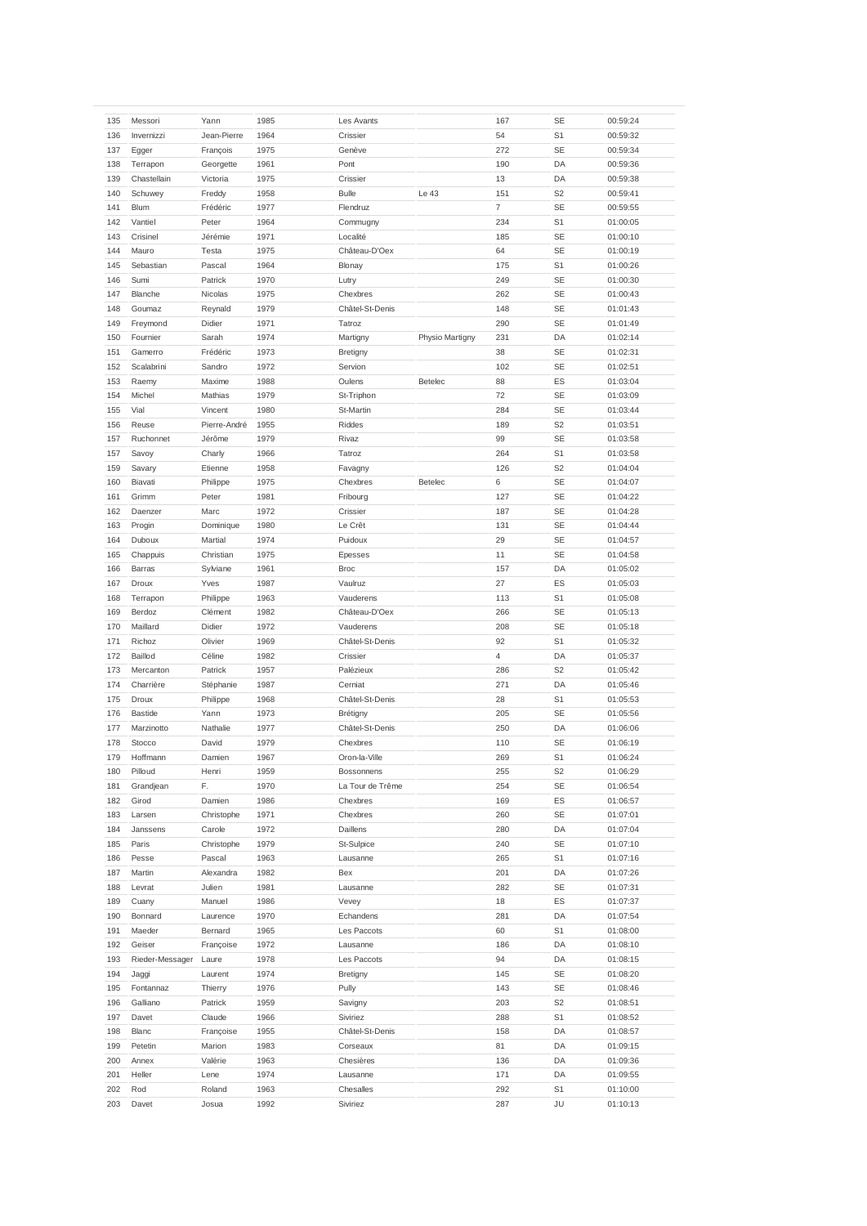| 135 | Messori         | Yann         | 1985 | Les Avants       |                 | 167 | SE             | 00:59:24 |
|-----|-----------------|--------------|------|------------------|-----------------|-----|----------------|----------|
| 136 | Invernizzi      | Jean-Pierre  | 1964 | Crissier         |                 | 54  | S <sub>1</sub> | 00:59:32 |
| 137 | Egger           | François     | 1975 | Genève           |                 | 272 | <b>SE</b>      | 00:59:34 |
|     |                 |              |      |                  |                 |     |                |          |
| 138 | Terrapon        | Georgette    | 1961 | Pont             |                 | 190 | DA             | 00:59:36 |
| 139 | Chastellain     | Victoria     | 1975 | Crissier         |                 | 13  | DA             | 00:59:38 |
| 140 | Schuwey         | Freddy       | 1958 | <b>Bulle</b>     | Le 43           | 151 | S <sub>2</sub> | 00:59:41 |
| 141 | Blum            | Frédéric     | 1977 | Flendruz         |                 | 7   | SE             | 00:59:55 |
| 142 | Vantiel         | Peter        | 1964 | Commugny         |                 | 234 | S <sub>1</sub> | 01:00:05 |
| 143 | Crisinel        | Jérémie      | 1971 | Localité         |                 | 185 | SE             | 01:00:10 |
| 144 | Mauro           | Testa        | 1975 | Château-D'Oex    |                 | 64  | <b>SE</b>      | 01:00:19 |
| 145 | Sebastian       | Pascal       | 1964 | Blonay           |                 | 175 | S <sub>1</sub> | 01:00:26 |
| 146 | Sumi            | Patrick      | 1970 | Lutry            |                 | 249 | SE             | 01:00:30 |
| 147 | Blanche         | Nicolas      | 1975 | Chexbres         |                 | 262 | <b>SE</b>      | 01:00:43 |
| 148 | Goumaz          | Reynald      | 1979 | Châtel-St-Denis  |                 | 148 | SE             | 01:01:43 |
| 149 | Freymond        | Didier       | 1971 | Tatroz           |                 | 290 | <b>SE</b>      | 01:01:49 |
| 150 | Fournier        | Sarah        | 1974 | Martigny         | Physio Martigny | 231 | DA             | 01:02:14 |
| 151 | Gamerro         | Frédéric     | 1973 | Bretigny         |                 | 38  | SE             | 01:02:31 |
| 152 | Scalabrini      | Sandro       | 1972 | Servion          |                 | 102 | <b>SE</b>      | 01:02:51 |
| 153 | Raemy           | Maxime       | 1988 | Oulens           | Betelec         | 88  | ES             | 01:03:04 |
| 154 | Michel          | Mathias      | 1979 | St-Triphon       |                 | 72  | SE             | 01:03:09 |
| 155 | Vial            | Vincent      | 1980 | St-Martin        |                 | 284 | <b>SE</b>      | 01:03:44 |
| 156 | Reuse           | Pierre-André | 1955 | Riddes           |                 | 189 | S <sub>2</sub> | 01:03:51 |
|     |                 |              |      |                  |                 |     |                |          |
| 157 | Ruchonnet       | Jérôme       | 1979 | Rivaz            |                 | 99  | <b>SE</b>      | 01:03:58 |
| 157 | Savoy           | Charly       | 1966 | Tatroz           |                 | 264 | S <sub>1</sub> | 01:03:58 |
| 159 | Savary          | Etienne      | 1958 | Favagny          |                 | 126 | S <sub>2</sub> | 01:04:04 |
| 160 | Biavati         | Philippe     | 1975 | Chexbres         | Betelec         | 6   | <b>SE</b>      | 01:04:07 |
| 161 | Grimm           | Peter        | 1981 | Fribourg         |                 | 127 | SE             | 01:04:22 |
| 162 | Daenzer         | Marc         | 1972 | Crissier         |                 | 187 | <b>SE</b>      | 01:04:28 |
| 163 | Progin          | Dominique    | 1980 | Le Crêt          |                 | 131 | <b>SE</b>      | 01:04:44 |
| 164 | Duboux          | Martial      | 1974 | Puidoux          |                 | 29  | SE             | 01:04:57 |
| 165 | Chappuis        | Christian    | 1975 | Epesses          |                 | 11  | <b>SE</b>      | 01:04:58 |
| 166 | Barras          | Sylviane     | 1961 | <b>Broc</b>      |                 | 157 | DA             | 01:05:02 |
| 167 | Droux           | Yves         | 1987 | Vaulruz          |                 | 27  | ES             | 01:05:03 |
| 168 | Terrapon        | Philippe     | 1963 | Vauderens        |                 | 113 | S <sub>1</sub> | 01:05:08 |
| 169 | Berdoz          | Clément      | 1982 | Château-D'Oex    |                 | 266 | SE             | 01:05:13 |
| 170 | Maillard        | Didier       | 1972 | Vauderens        |                 | 208 | <b>SE</b>      | 01:05:18 |
| 171 | Richoz          | Olivier      | 1969 | Châtel-St-Denis  |                 | 92  | S <sub>1</sub> | 01:05:32 |
| 172 | Baillod         | Céline       | 1982 | Crissier         |                 | 4   | DA             | 01:05:37 |
| 173 | Mercanton       | Patrick      | 1957 | Palézieux        |                 | 286 | S <sub>2</sub> | 01:05:42 |
| 174 | Charrière       | Stéphanie    | 1987 | Cerniat          |                 | 271 | DA             | 01:05:46 |
| 175 | Droux           | Philippe     | 1968 | Châtel-St-Denis  |                 | 28  | S <sub>1</sub> | 01:05:53 |
| 176 | <b>Bastide</b>  | Yann         | 1973 |                  |                 | 205 | <b>SE</b>      | 01:05:56 |
| 177 |                 |              |      | Brétigny         |                 |     | DA             |          |
|     | Marzinotto      | Nathalie     | 1977 | Châtel-St-Denis  |                 | 250 |                | 01:06:06 |
| 178 | Stocco          | David        | 1979 | Chexbres         |                 | 110 | <b>SE</b>      | 01:06:19 |
| 179 | Hoffmann        | Damien       | 1967 | Oron-la-Ville    |                 | 269 | S <sub>1</sub> | 01:06:24 |
| 180 | Pilloud         | Henri        | 1959 | Bossonnens       |                 | 255 | S <sub>2</sub> | 01:06:29 |
| 181 | Grandjean       | F.           | 1970 | La Tour de Trême |                 | 254 | <b>SE</b>      | 01:06:54 |
| 182 | Girod           | Damien       | 1986 | Chexbres         |                 | 169 | ES             | 01:06:57 |
| 183 | Larsen          | Christophe   | 1971 | Chexbres         |                 | 260 | SE             | 01:07:01 |
| 184 | Janssens        | Carole       | 1972 | Daillens         |                 | 280 | DA             | 01:07:04 |
| 185 | Paris           | Christophe   | 1979 | St-Sulpice       |                 | 240 | SE             | 01:07:10 |
| 186 | Pesse           | Pascal       | 1963 | Lausanne         |                 | 265 | S1             | 01:07:16 |
| 187 | Martin          | Alexandra    | 1982 | Bex              |                 | 201 | DA             | 01:07:26 |
| 188 | Levrat          | Julien       | 1981 | Lausanne         |                 | 282 | SE             | 01:07:31 |
| 189 | Cuany           | Manuel       | 1986 | Vevey            |                 | 18  | ES             | 01:07:37 |
| 190 | Bonnard         | Laurence     | 1970 | Echandens        |                 | 281 | DA             | 01:07:54 |
| 191 | Maeder          | Bernard      | 1965 | Les Paccots      |                 | 60  | S <sub>1</sub> | 01:08:00 |
| 192 | Geiser          | Françoise    | 1972 | Lausanne         |                 | 186 | DA             | 01:08:10 |
| 193 | Rieder-Messager | Laure        | 1978 | Les Paccots      |                 | 94  | DA             | 01:08:15 |
| 194 |                 |              |      |                  |                 |     |                |          |
|     | Jaggi           | Laurent      | 1974 | Bretigny         |                 | 145 | SE             | 01:08:20 |
| 195 | Fontannaz       | Thierry      | 1976 | Pully            |                 | 143 | <b>SE</b>      | 01:08:46 |
| 196 | Galliano        | Patrick      | 1959 | Savigny          |                 | 203 | S <sub>2</sub> | 01:08:51 |
| 197 | Davet           | Claude       | 1966 | Siviriez         |                 | 288 | S <sub>1</sub> | 01:08:52 |
| 198 | Blanc           | Françoise    | 1955 | Châtel-St-Denis  |                 | 158 | DA             | 01:08:57 |
| 199 | Petetin         | Marion       | 1983 | Corseaux         |                 | 81  | DA             | 01:09:15 |
| 200 | Annex           | Valérie      | 1963 | Chesières        |                 | 136 | DA             | 01:09:36 |
| 201 | Heller          | Lene         | 1974 | Lausanne         |                 | 171 | DA             | 01:09:55 |
| 202 | Rod             | Roland       | 1963 | Chesalles        |                 | 292 | S1             | 01:10:00 |
| 203 | Davet           | Josua        | 1992 | Siviriez         |                 | 287 | JU             | 01:10:13 |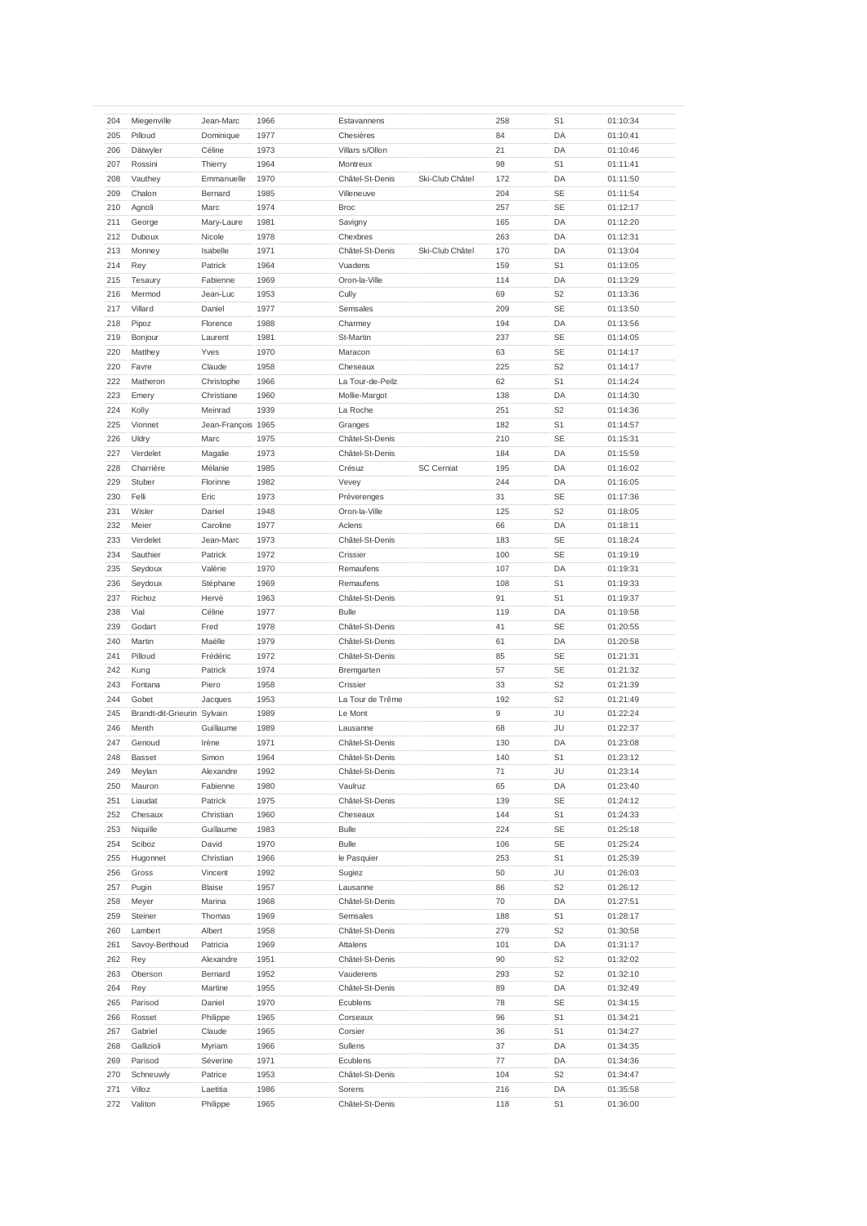|     | Miegenville                 |                    |      |                  |                   | 258 | S <sub>1</sub> |          |
|-----|-----------------------------|--------------------|------|------------------|-------------------|-----|----------------|----------|
| 204 |                             | Jean-Marc          | 1966 | Estavannens      |                   |     |                | 01:10:34 |
| 205 | Pilloud                     | Dominique          | 1977 | Chesières        |                   | 84  | DA             | 01:10:41 |
| 206 | Dätwyler                    | Céline             | 1973 | Villars s/Ollon  |                   | 21  | DA             | 01:10:46 |
| 207 | Rossini                     | Thierry            | 1964 | Montreux         |                   | 98  | S <sub>1</sub> | 01:11:41 |
| 208 | Vauthey                     | Emmanuelle         | 1970 | Châtel-St-Denis  | Ski-Club Châtel   | 172 | DA             | 01:11:50 |
|     |                             |                    |      |                  |                   |     |                |          |
| 209 | Chalon                      | Bernard            | 1985 | Villeneuve       |                   | 204 | <b>SE</b>      | 01:11:54 |
| 210 | Agnoli                      | Marc               | 1974 | <b>Broc</b>      |                   | 257 | <b>SE</b>      | 01:12:17 |
| 211 | George                      | Mary-Laure         | 1981 | Savigny          |                   | 165 | DA             | 01:12:20 |
| 212 | Duboux                      | Nicole             | 1978 | Chexbres         |                   | 263 | DA             | 01:12:31 |
| 213 | Monney                      | Isabelle           | 1971 | Châtel-St-Denis  | Ski-Club Châtel   | 170 | DA             | 01:13:04 |
|     |                             |                    |      |                  |                   |     |                |          |
| 214 | Rey                         | Patrick            | 1964 | Vuadens          |                   | 159 | S <sub>1</sub> | 01:13:05 |
| 215 | Tesaury                     | Fabienne           | 1969 | Oron-la-Ville    |                   | 114 | DA             | 01:13:29 |
| 216 | Mermod                      | Jean-Luc           | 1953 | Cully            |                   | 69  | S <sub>2</sub> | 01:13:36 |
| 217 | Villard                     | Daniel             | 1977 | Semsales         |                   | 209 | SE             | 01:13:50 |
|     |                             |                    |      |                  |                   |     |                |          |
| 218 | Pipoz                       | Florence           | 1988 | Charmey          |                   | 194 | DA             | 01:13:56 |
| 219 | Bonjour                     | Laurent            | 1981 | St-Martin        |                   | 237 | <b>SE</b>      | 01:14:05 |
| 220 | Matthey                     | Yves               | 1970 | Maracon          |                   | 63  | SE             | 01:14:17 |
| 220 | Favre                       | Claude             | 1958 | Cheseaux         |                   | 225 | S <sub>2</sub> | 01:14:17 |
|     |                             |                    |      |                  |                   |     |                |          |
| 222 | Matheron                    | Christophe         | 1966 | La Tour-de-Peilz |                   | 62  | S <sub>1</sub> | 01:14:24 |
| 223 | Emery                       | Christiane         | 1960 | Mollie-Margot    |                   | 138 | DA             | 01:14:30 |
| 224 | Kolly                       | Meinrad            | 1939 | La Roche         |                   | 251 | S <sub>2</sub> | 01:14:36 |
| 225 | Vionnet                     | Jean-François 1965 |      | Granges          |                   | 182 | S <sub>1</sub> | 01:14:57 |
| 226 | Uldry                       | Marc               | 1975 | Châtel-St-Denis  |                   | 210 | <b>SE</b>      | 01:15:31 |
|     |                             |                    |      |                  |                   |     |                |          |
| 227 | Verdelet                    | Magalie            | 1973 | Châtel-St-Denis  |                   | 184 | DA             | 01:15:59 |
| 228 | Charrière                   | Mélanie            | 1985 | Crésuz           | <b>SC Cerniat</b> | 195 | DA             | 01:16:02 |
| 229 | Stuber                      | Florinne           | 1982 | Vevey            |                   | 244 | DA             | 01:16:05 |
| 230 | Felli                       | Eric               | 1973 | Préverenges      |                   | 31  | SE             | 01:17:36 |
|     |                             |                    |      |                  |                   |     |                |          |
| 231 | Wisler                      | Daniel             | 1948 | Oron-la-Ville    |                   | 125 | S <sub>2</sub> | 01:18:05 |
| 232 | Meier                       | Caroline           | 1977 | Aclens           |                   | 66  | DA             | 01:18:11 |
| 233 | Verdelet                    | Jean-Marc          | 1973 | Châtel-St-Denis  |                   | 183 | SE             | 01:18:24 |
| 234 | Sauthier                    | Patrick            | 1972 | Crissier         |                   | 100 | SE             | 01:19:19 |
| 235 | Seydoux                     | Valérie            | 1970 | Remaufens        |                   | 107 | DA             | 01:19:31 |
|     |                             |                    |      |                  |                   |     |                |          |
| 236 | Seydoux                     | Stéphane           | 1969 | Remaufens        |                   | 108 | S1             | 01:19:33 |
| 237 | Richoz                      | Hervé              | 1963 | Châtel-St-Denis  |                   | 91  | S <sub>1</sub> | 01:19:37 |
| 238 | Vial                        | Céline             | 1977 | <b>Bulle</b>     |                   | 119 | DA             | 01:19:58 |
| 239 | Godart                      | Fred               | 1978 | Châtel-St-Denis  |                   | 41  | <b>SE</b>      | 01:20:55 |
|     |                             |                    |      |                  |                   |     |                |          |
| 240 | Martin                      | Maëlle             | 1979 | Châtel-St-Denis  |                   | 61  | DA             | 01:20:58 |
| 241 | Pilloud                     | Frédéric           | 1972 | Châtel-St-Denis  |                   | 85  | <b>SE</b>      | 01:21:31 |
| 242 | Kung                        | Patrick            | 1974 | Bremgarten       |                   | 57  | <b>SE</b>      | 01:21:32 |
| 243 | Fontana                     | Piero              | 1958 | Crissier         |                   | 33  | S <sub>2</sub> | 01:21:39 |
| 244 | Gobet                       |                    |      |                  |                   | 192 | S <sub>2</sub> |          |
|     |                             | Jacques            | 1953 | La Tour de Trême |                   |     |                | 01:21:49 |
| 245 | Brandt-dit-Grieurin Sylvain |                    | 1989 | Le Mont          |                   | 9   | JU             | 01:22:24 |
| 246 | Menth                       | Guillaume          | 1989 | Lausanne         |                   | 68  | JU             | 01:22:37 |
| 247 | Genoud                      | Irène              | 1971 | Châtel-St-Denis  |                   | 130 | DA             | 01:23:08 |
| 248 | <b>Basset</b>               | Simon              | 1964 | Châtel-St-Denis  |                   | 140 | S <sub>1</sub> | 01:23:12 |
|     |                             |                    |      |                  |                   |     |                |          |
| 249 | Meylan                      | Alexandre          | 1992 | Châtel-St-Denis  |                   | 71  | JU             | 01:23:14 |
| 250 | Mauron                      | Fabienne           | 1980 | Vaulruz          |                   | 65  | DA             | 01:23:40 |
| 251 | Liaudat                     | Patrick            | 1975 | Châtel-St-Denis  |                   | 139 | SE             | 01:24:12 |
| 252 | Chesaux                     | Christian          | 1960 | Cheseaux         |                   | 144 | S <sub>1</sub> | 01:24:33 |
| 253 | Niquille                    | Guillaume          | 1983 | Bulle            |                   | 224 | SE             | 01:25:18 |
|     |                             |                    |      |                  |                   |     |                |          |
| 254 | Sciboz                      | David              | 1970 | Bulle            |                   | 106 | SE             | 01:25:24 |
| 255 | Hugonnet                    | Christian          | 1966 | le Pasquier      |                   | 253 | S <sub>1</sub> | 01:25:39 |
| 256 | Gross                       | Vincent            | 1992 | Sugiez           |                   | 50  | JU             | 01:26:03 |
| 257 | Pugin                       | Blaise             | 1957 | Lausanne         |                   | 86  | S <sub>2</sub> | 01:26:12 |
|     |                             |                    |      |                  |                   |     |                |          |
| 258 | Meyer                       | Marina             | 1968 | Châtel-St-Denis  |                   | 70  | DA             | 01:27:51 |
| 259 | Steiner                     | Thomas             | 1969 | Semsales         |                   | 188 | S1             | 01:28:17 |
| 260 | Lambert                     | Albert             | 1958 | Châtel-St-Denis  |                   | 279 | S <sub>2</sub> | 01:30:58 |
| 261 | Savoy-Berthoud              | Patricia           | 1969 | Attalens         |                   | 101 | DA             | 01:31:17 |
|     |                             |                    |      |                  |                   |     | S <sub>2</sub> |          |
| 262 | Rey                         | Alexandre          | 1951 | Châtel-St-Denis  |                   | 90  |                | 01:32:02 |
| 263 | Oberson                     | Bernard            | 1952 | Vauderens        |                   | 293 | S <sub>2</sub> | 01:32:10 |
| 264 | Rey                         | Martine            | 1955 | Châtel-St-Denis  |                   | 89  | DA             | 01:32:49 |
| 265 | Parisod                     | Daniel             | 1970 | Ecublens         |                   | 78  | SE             | 01:34:15 |
| 266 | Rosset                      | Philippe           | 1965 | Corseaux         |                   | 96  | S <sub>1</sub> | 01:34:21 |
|     |                             |                    |      |                  |                   |     |                |          |
| 267 | Gabriel                     | Claude             | 1965 | Corsier          |                   | 36  | S1             | 01:34:27 |
| 268 | Gallizioli                  | Myriam             | 1966 | Sullens          |                   | 37  | DA             | 01:34:35 |
| 269 | Parisod                     | Séverine           | 1971 | Ecublens         |                   | 77  | DA             | 01:34:36 |
| 270 | Schneuwly                   | Patrice            | 1953 | Châtel-St-Denis  |                   | 104 | S <sub>2</sub> | 01:34:47 |
| 271 | Villoz                      | Laetitia           | 1986 | Sorens           |                   |     | DA             |          |
|     |                             |                    |      |                  |                   | 216 |                | 01:35:58 |
| 272 | Valiton                     | Philippe           | 1965 | Châtel-St-Denis  |                   | 118 | S <sub>1</sub> | 01:36:00 |